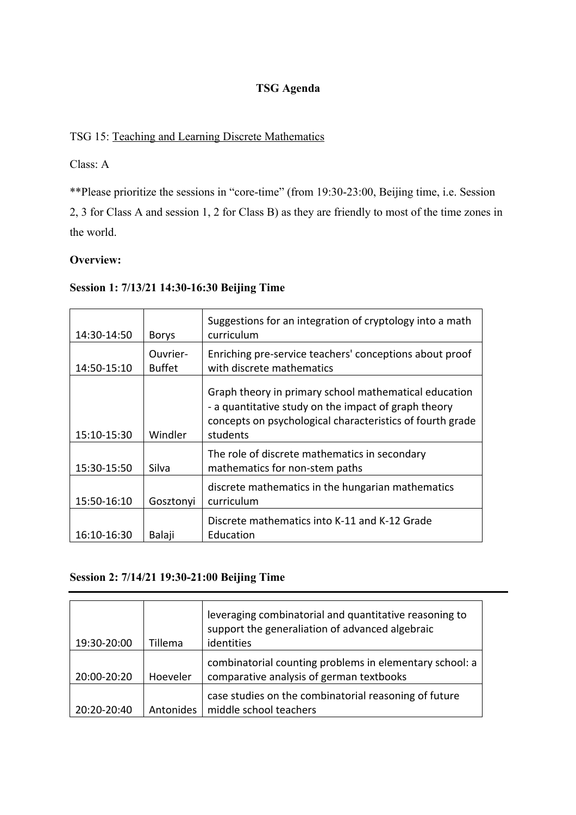# **TSG Agenda**

# TSG 15: Teaching and Learning Discrete Mathematics

# Class: A

\*\*Please prioritize the sessions in "core-time" (from 19:30-23:00, Beijing time, i.e. Session 2, 3 for Class A and session 1, 2 for Class B) as they are friendly to most of the time zones in the world.

# **Overview:**

# **Session 1: 7/13/21 14:30-16:30 Beijing Time**

| 14:30-14:50 | <b>Borys</b>              | Suggestions for an integration of cryptology into a math<br>curriculum                                                                                                                 |  |
|-------------|---------------------------|----------------------------------------------------------------------------------------------------------------------------------------------------------------------------------------|--|
| 14:50-15:10 | Ouvrier-<br><b>Buffet</b> | Enriching pre-service teachers' conceptions about proof<br>with discrete mathematics                                                                                                   |  |
| 15:10-15:30 | Windler                   | Graph theory in primary school mathematical education<br>- a quantitative study on the impact of graph theory<br>concepts on psychological characteristics of fourth grade<br>students |  |
| 15:30-15:50 | Silva                     | The role of discrete mathematics in secondary<br>mathematics for non-stem paths                                                                                                        |  |
| 15:50-16:10 | Gosztonyi                 | discrete mathematics in the hungarian mathematics<br>curriculum                                                                                                                        |  |
| 16:10-16:30 | Balaji                    | Discrete mathematics into K-11 and K-12 Grade<br>Education                                                                                                                             |  |

# **Session 2: 7/14/21 19:30-21:00 Beijing Time**

| 19:30-20:00 | Tillema   | leveraging combinatorial and quantitative reasoning to<br>support the generaliation of advanced algebraic<br>identities |  |
|-------------|-----------|-------------------------------------------------------------------------------------------------------------------------|--|
| 20:00-20:20 | Hoeveler  | combinatorial counting problems in elementary school: a<br>comparative analysis of german textbooks                     |  |
| 20:20-20:40 | Antonides | case studies on the combinatorial reasoning of future<br>middle school teachers                                         |  |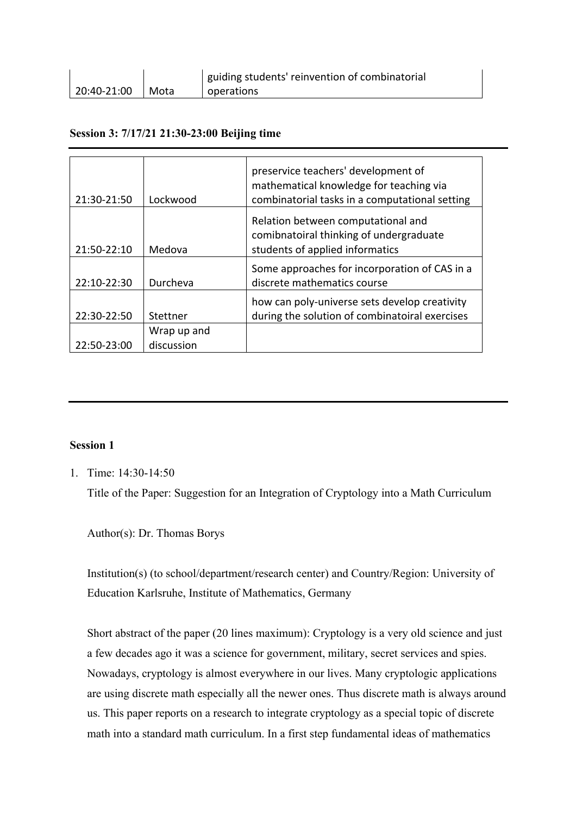|             |        | guiding students' reinvention of combinatorial |  |
|-------------|--------|------------------------------------------------|--|
| 20:40-21:00 | l Mota | l operations                                   |  |

## **Session 3: 7/17/21 21:30-23:00 Beijing time**

| 21:30-21:50 | Lockwood                  | preservice teachers' development of<br>mathematical knowledge for teaching via<br>combinatorial tasks in a computational setting |
|-------------|---------------------------|----------------------------------------------------------------------------------------------------------------------------------|
| 21:50-22:10 | Medova                    | Relation between computational and<br>comibnatoiral thinking of undergraduate<br>students of applied informatics                 |
| 22:10-22:30 | Durcheva                  | Some approaches for incorporation of CAS in a<br>discrete mathematics course                                                     |
| 22:30-22:50 | Stettner                  | how can poly-universe sets develop creativity<br>during the solution of combinatoiral exercises                                  |
| 22:50-23:00 | Wrap up and<br>discussion |                                                                                                                                  |

## **Session 1**

1. Time: 14:30-14:50

Title of the Paper: Suggestion for an Integration of Cryptology into a Math Curriculum

Author(s): Dr. Thomas Borys

Institution(s) (to school/department/research center) and Country/Region: University of Education Karlsruhe, Institute of Mathematics, Germany

Short abstract of the paper (20 lines maximum): Cryptology is a very old science and just a few decades ago it was a science for government, military, secret services and spies. Nowadays, cryptology is almost everywhere in our lives. Many cryptologic applications are using discrete math especially all the newer ones. Thus discrete math is always around us. This paper reports on a research to integrate cryptology as a special topic of discrete math into a standard math curriculum. In a first step fundamental ideas of mathematics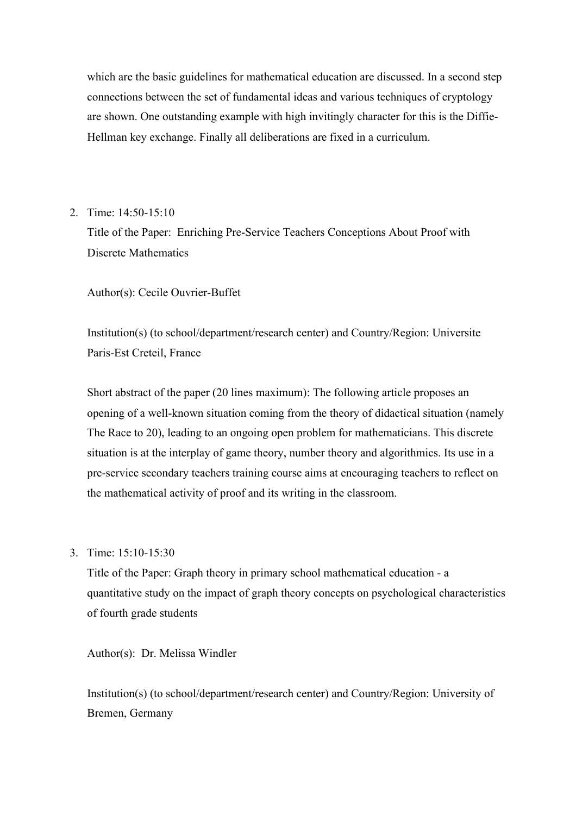which are the basic guidelines for mathematical education are discussed. In a second step connections between the set of fundamental ideas and various techniques of cryptology are shown. One outstanding example with high invitingly character for this is the Diffie-Hellman key exchange. Finally all deliberations are fixed in a curriculum.

2. Time: 14:50-15:10

Title of the Paper: Enriching Pre-Service Teachers Conceptions About Proof with Discrete Mathematics

Author(s): Cecile Ouvrier-Buffet

Institution(s) (to school/department/research center) and Country/Region: Universite Paris-Est Creteil, France

Short abstract of the paper (20 lines maximum): The following article proposes an opening of a well-known situation coming from the theory of didactical situation (namely The Race to 20), leading to an ongoing open problem for mathematicians. This discrete situation is at the interplay of game theory, number theory and algorithmics. Its use in a pre-service secondary teachers training course aims at encouraging teachers to reflect on the mathematical activity of proof and its writing in the classroom.

3. Time: 15:10-15:30

Title of the Paper: Graph theory in primary school mathematical education - a quantitative study on the impact of graph theory concepts on psychological characteristics of fourth grade students

Author(s): Dr. Melissa Windler

Institution(s) (to school/department/research center) and Country/Region: University of Bremen, Germany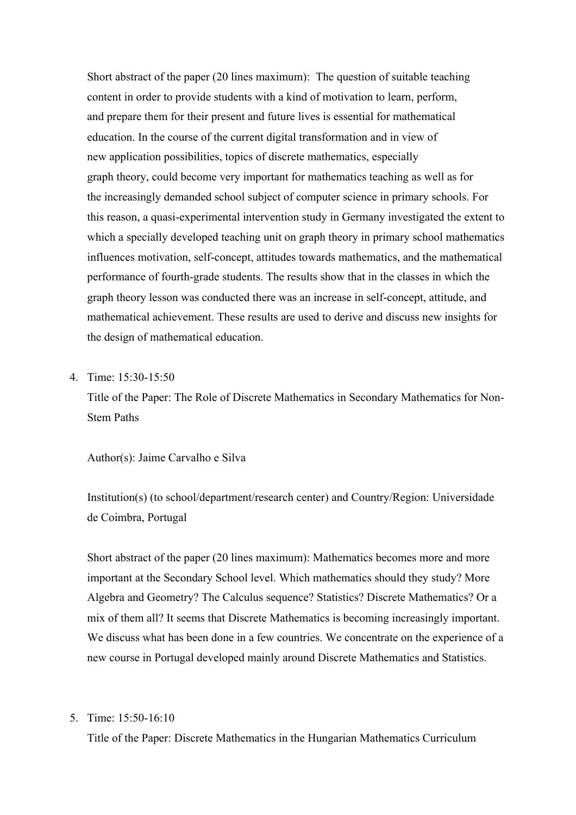Short abstract of the paper (20 lines maximum): The question of suitable teaching content in order to provide students with a kind of motivation to learn, perform, and prepare them for their present and future lives is essential for mathematical education. In the course of the current digital transformation and in view of new application possibilities, topics of discrete mathematics, especially graph theory, could become very important for mathematics teaching as well as for the increasingly demanded school subject of computer science in primary schools. For this reason, a quasi-experimental intervention study in Germany investigated the extent to which a specially developed teaching unit on graph theory in primary school mathematics influences motivation, self-concept, attitudes towards mathematics, and the mathematical performance of fourth-grade students. The results show that in the classes in which the graph theory lesson was conducted there was an increase in self-concept, attitude, and mathematical achievement. These results are used to derive and discuss new insights for the design of mathematical education.

## 4. Time: 15:30-15:50

Title of the Paper: The Role of Discrete Mathematics in Secondary Mathematics for Non-Stem Paths

Author(s): Jaime Carvalho e Silva

Institution(s) (to school/department/research center) and Country/Region: Universidade de Coimbra, Portugal

Short abstract of the paper (20 lines maximum): Mathematics becomes more and more important at the Secondary School level. Which mathematics should they study? More Algebra and Geometry? The Calculus sequence? Statistics? Discrete Mathematics? Or a mix of them all? It seems that Discrete Mathematics is becoming increasingly important. We discuss what has been done in a few countries. We concentrate on the experience of a new course in Portugal developed mainly around Discrete Mathematics and Statistics.

5. Time: 15:50-16:10

Title of the Paper: Discrete Mathematics in the Hungarian Mathematics Curriculum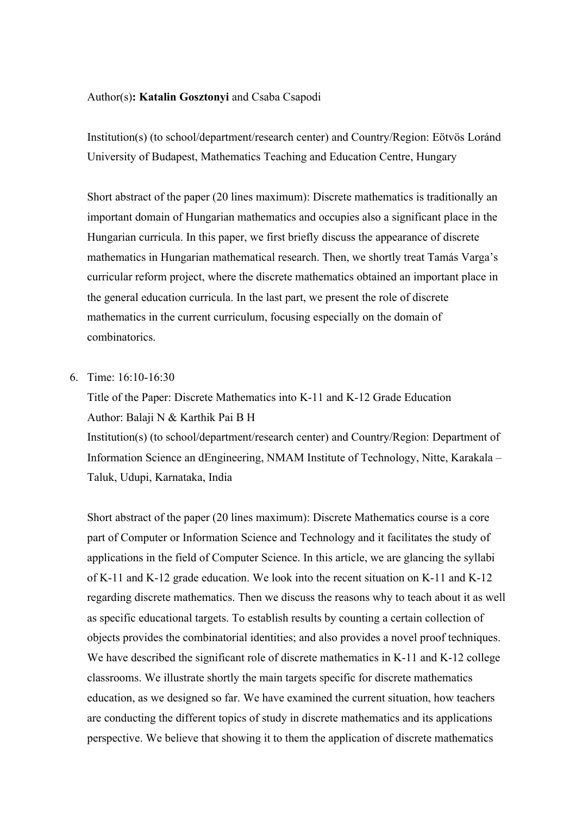#### Author(s)**: Katalin Gosztonyi** and Csaba Csapodi

Institution(s) (to school/department/research center) and Country/Region: Eötvös Loránd University of Budapest, Mathematics Teaching and Education Centre, Hungary

Short abstract of the paper (20 lines maximum): Discrete mathematics is traditionally an important domain of Hungarian mathematics and occupies also a significant place in the Hungarian curricula. In this paper, we first briefly discuss the appearance of discrete mathematics in Hungarian mathematical research. Then, we shortly treat Tamás Varga's curricular reform project, where the discrete mathematics obtained an important place in the general education curricula. In the last part, we present the role of discrete mathematics in the current curriculum, focusing especially on the domain of combinatorics.

## 6. Time: 16:10-16:30

Title of the Paper: Discrete Mathematics into K-11 and K-12 Grade Education Author: Balaji N & Karthik Pai B H

Institution(s) (to school/department/research center) and Country/Region: Department of Information Science an dEngineering, NMAM Institute of Technology, Nitte, Karakala – Taluk, Udupi, Karnataka, India

Short abstract of the paper (20 lines maximum): Discrete Mathematics course is a core part of Computer or Information Science and Technology and it facilitates the study of applications in the field of Computer Science. In this article, we are glancing the syllabi of K-11 and K-12 grade education. We look into the recent situation on K-11 and K-12 regarding discrete mathematics. Then we discuss the reasons why to teach about it as well as specific educational targets. To establish results by counting a certain collection of objects provides the combinatorial identities; and also provides a novel proof techniques. We have described the significant role of discrete mathematics in K-11 and K-12 college classrooms. We illustrate shortly the main targets specific for discrete mathematics education, as we designed so far. We have examined the current situation, how teachers are conducting the different topics of study in discrete mathematics and its applications perspective. We believe that showing it to them the application of discrete mathematics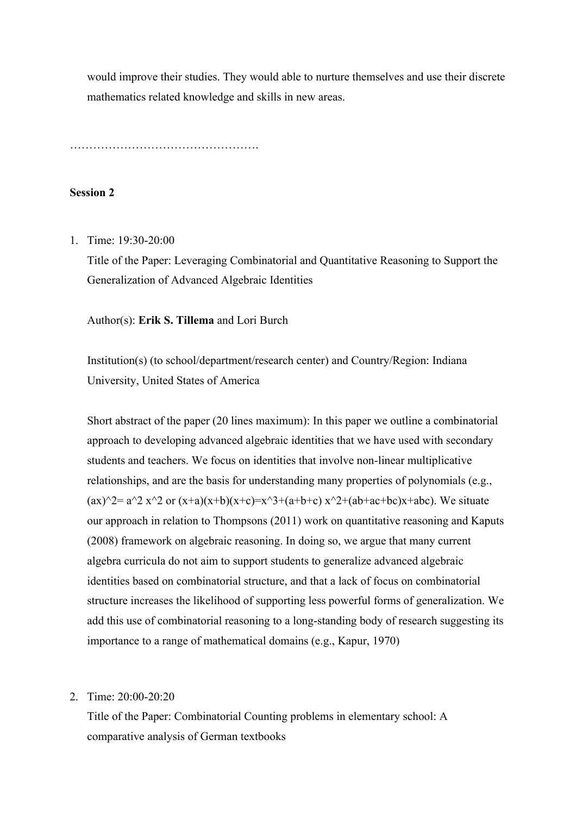would improve their studies. They would able to nurture themselves and use their discrete mathematics related knowledge and skills in new areas.

………………………………………….

## **Session 2**

1. Time: 19:30-20:00

Title of the Paper: Leveraging Combinatorial and Quantitative Reasoning to Support the Generalization of Advanced Algebraic Identities

Author(s): **Erik S. Tillema** and Lori Burch

Institution(s) (to school/department/research center) and Country/Region: Indiana University, United States of America

Short abstract of the paper (20 lines maximum): In this paper we outline a combinatorial approach to developing advanced algebraic identities that we have used with secondary students and teachers. We focus on identities that involve non-linear multiplicative relationships, and are the basis for understanding many properties of polynomials (e.g.,  $(ax)^2 = a^2x^2$  or  $(x+a)(x+b)(x+c)=x^3+(a+b+c)x^2+(ab+ac+bc)x+abc$ . We situate our approach in relation to Thompsons (2011) work on quantitative reasoning and Kaputs (2008) framework on algebraic reasoning. In doing so, we argue that many current algebra curricula do not aim to support students to generalize advanced algebraic identities based on combinatorial structure, and that a lack of focus on combinatorial structure increases the likelihood of supporting less powerful forms of generalization. We add this use of combinatorial reasoning to a long-standing body of research suggesting its importance to a range of mathematical domains (e.g., Kapur, 1970)

2. Time: 20:00-20:20

Title of the Paper: Combinatorial Counting problems in elementary school: A comparative analysis of German textbooks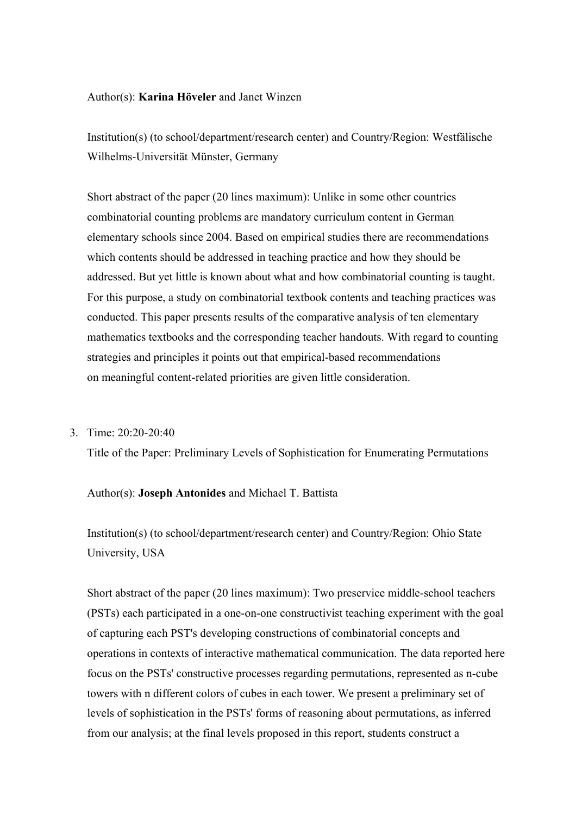#### Author(s): **Karina Höveler** and Janet Winzen

Institution(s) (to school/department/research center) and Country/Region: Westfälische Wilhelms-Universität Münster, Germany

Short abstract of the paper (20 lines maximum): Unlike in some other countries combinatorial counting problems are mandatory curriculum content in German elementary schools since 2004. Based on empirical studies there are recommendations which contents should be addressed in teaching practice and how they should be addressed. But yet little is known about what and how combinatorial counting is taught. For this purpose, a study on combinatorial textbook contents and teaching practices was conducted. This paper presents results of the comparative analysis of ten elementary mathematics textbooks and the corresponding teacher handouts. With regard to counting strategies and principles it points out that empirical-based recommendations on meaningful content-related priorities are given little consideration.

## 3. Time: 20:20-20:40

Title of the Paper: Preliminary Levels of Sophistication for Enumerating Permutations

Author(s): **Joseph Antonides** and Michael T. Battista

Institution(s) (to school/department/research center) and Country/Region: Ohio State University, USA

Short abstract of the paper (20 lines maximum): Two preservice middle-school teachers (PSTs) each participated in a one-on-one constructivist teaching experiment with the goal of capturing each PST's developing constructions of combinatorial concepts and operations in contexts of interactive mathematical communication. The data reported here focus on the PSTs' constructive processes regarding permutations, represented as n-cube towers with n different colors of cubes in each tower. We present a preliminary set of levels of sophistication in the PSTs' forms of reasoning about permutations, as inferred from our analysis; at the final levels proposed in this report, students construct a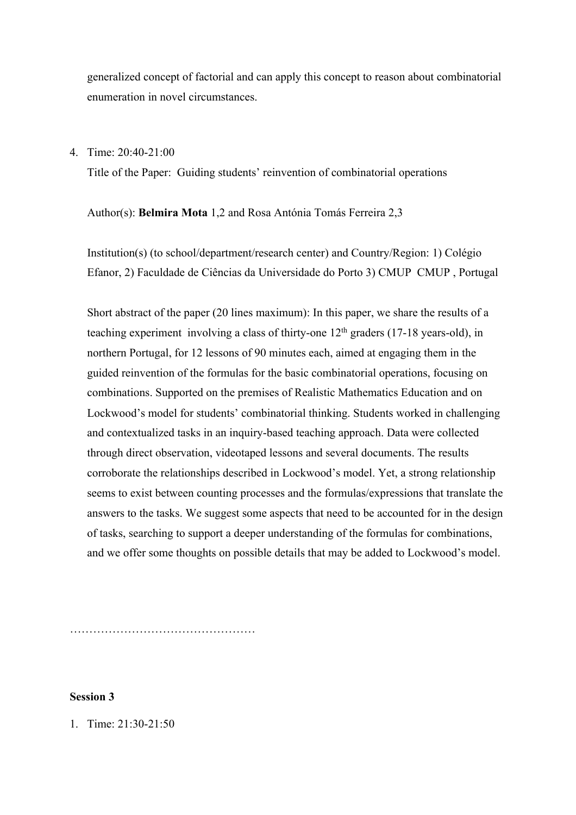generalized concept of factorial and can apply this concept to reason about combinatorial enumeration in novel circumstances.

4. Time: 20:40-21:00

Title of the Paper: Guiding students' reinvention of combinatorial operations

Author(s): **Belmira Mota** 1,2 and Rosa Antónia Tomás Ferreira 2,3

Institution(s) (to school/department/research center) and Country/Region: 1) Colégio Efanor, 2) Faculdade de Ciências da Universidade do Porto 3) CMUP CMUP , Portugal

Short abstract of the paper (20 lines maximum): In this paper, we share the results of a teaching experiment involving a class of thirty-one  $12<sup>th</sup>$  graders (17-18 years-old), in northern Portugal, for 12 lessons of 90 minutes each, aimed at engaging them in the guided reinvention of the formulas for the basic combinatorial operations, focusing on combinations. Supported on the premises of Realistic Mathematics Education and on Lockwood's model for students' combinatorial thinking. Students worked in challenging and contextualized tasks in an inquiry-based teaching approach. Data were collected through direct observation, videotaped lessons and several documents. The results corroborate the relationships described in Lockwood's model. Yet, a strong relationship seems to exist between counting processes and the formulas/expressions that translate the answers to the tasks. We suggest some aspects that need to be accounted for in the design of tasks, searching to support a deeper understanding of the formulas for combinations, and we offer some thoughts on possible details that may be added to Lockwood's model.

…………………………………………

## **Session 3**

1. Time: 21:30-21:50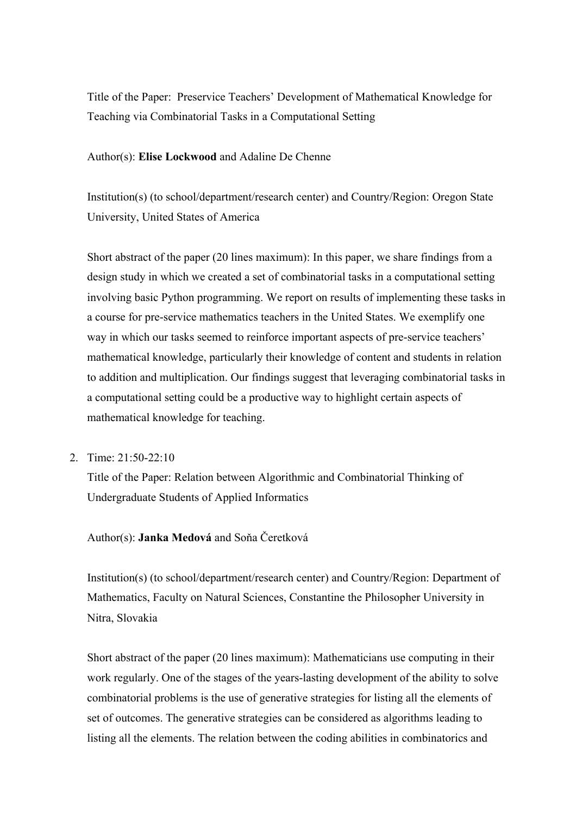Title of the Paper: Preservice Teachers' Development of Mathematical Knowledge for Teaching via Combinatorial Tasks in a Computational Setting

#### Author(s): **Elise Lockwood** and Adaline De Chenne

Institution(s) (to school/department/research center) and Country/Region: Oregon State University, United States of America

Short abstract of the paper (20 lines maximum): In this paper, we share findings from a design study in which we created a set of combinatorial tasks in a computational setting involving basic Python programming. We report on results of implementing these tasks in a course for pre-service mathematics teachers in the United States. We exemplify one way in which our tasks seemed to reinforce important aspects of pre-service teachers' mathematical knowledge, particularly their knowledge of content and students in relation to addition and multiplication. Our findings suggest that leveraging combinatorial tasks in a computational setting could be a productive way to highlight certain aspects of mathematical knowledge for teaching.

2. Time: 21:50-22:10

Title of the Paper: Relation between Algorithmic and Combinatorial Thinking of Undergraduate Students of Applied Informatics

## Author(s): **Janka Medová** and Soňa Čeretková

Institution(s) (to school/department/research center) and Country/Region: Department of Mathematics, Faculty on Natural Sciences, Constantine the Philosopher University in Nitra, Slovakia

Short abstract of the paper (20 lines maximum): Mathematicians use computing in their work regularly. One of the stages of the years-lasting development of the ability to solve combinatorial problems is the use of generative strategies for listing all the elements of set of outcomes. The generative strategies can be considered as algorithms leading to listing all the elements. The relation between the coding abilities in combinatorics and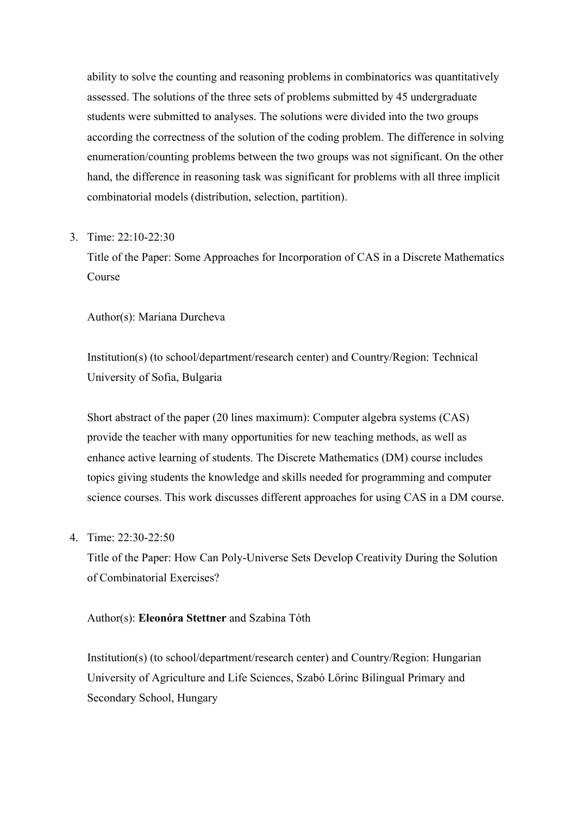ability to solve the counting and reasoning problems in combinatorics was quantitatively assessed. The solutions of the three sets of problems submitted by 45 undergraduate students were submitted to analyses. The solutions were divided into the two groups according the correctness of the solution of the coding problem. The difference in solving enumeration/counting problems between the two groups was not significant. On the other hand, the difference in reasoning task was significant for problems with all three implicit combinatorial models (distribution, selection, partition).

#### 3. Time: 22:10-22:30

Title of the Paper: Some Approaches for Incorporation of CAS in a Discrete Mathematics Course

Author(s): Mariana Durcheva

Institution(s) (to school/department/research center) and Country/Region: Technical University of Sofia, Bulgaria

Short abstract of the paper (20 lines maximum): Computer algebra systems (CAS) provide the teacher with many opportunities for new teaching methods, as well as enhance active learning of students. The Discrete Mathematics (DM) course includes topics giving students the knowledge and skills needed for programming and computer science courses. This work discusses different approaches for using CAS in a DM course.

4. Time: 22:30-22:50

Title of the Paper: How Can Poly-Universe Sets Develop Creativity During the Solution of Combinatorial Exercises?

#### Author(s): **Eleonóra Stettner** and Szabina Tóth

Institution(s) (to school/department/research center) and Country/Region: Hungarian University of Agriculture and Life Sciences, Szabó Lőrinc Bilingual Primary and Secondary School, Hungary